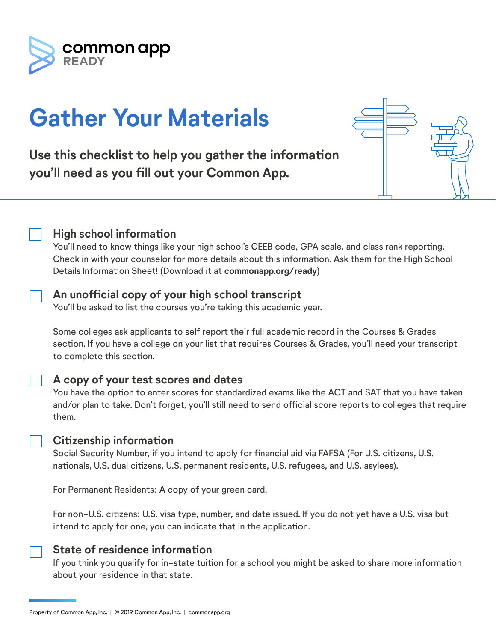

# **Gather Your Materials**

**Use this checklist to help you gather the information you'll need as you fill out your Common App.**

|--|--|



You'll need to know things like your high school's CEEB code, GPA scale, and class rank reporting. Check in with your counselor for more details about this information. Ask them for the High School Details Information Sheet! (Download it at **commonapp.org/ready**)

## **An unofficial copy of your high school transcript**

You'll be asked to list the courses you're taking this academic year.

Some colleges ask applicants to self report their full academic record in the Courses & Grades section. If you have a college on your list that requires Courses & Grades, you'll need your transcript to complete this section.

## **A copy of your test scores and dates**

You have the option to enter scores for standardized exams like the ACT and SAT that you have taken and/or plan to take. Don't forget, you'll still need to send official score reports to colleges that require them.

#### **Citizenship information**

Social Security Number, if you intend to apply for financial aid via FAFSA (For U.S. citizens, U.S. nationals, U.S. dual citizens, U.S. permanent residents, U.S. refugees, and U.S. asylees).

For Permanent Residents: A copy of your green card.

For non-U.S. citizens: U.S. visa type, number, and date issued. If you do not yet have a U.S. visa but intend to apply for one, you can indicate that in the application.

#### **State of residence information**

If you think you qualify for in-state tuition for a school you might be asked to share more information about your residence in that state.